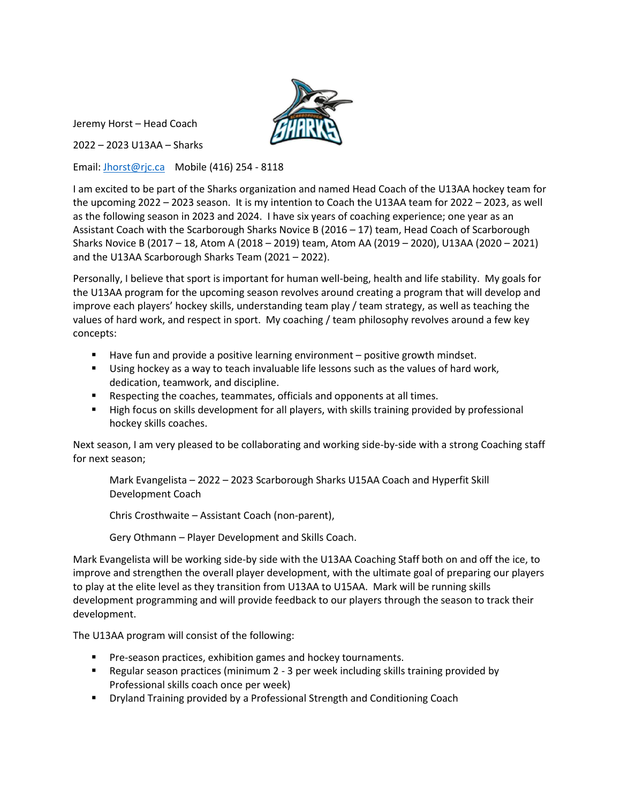

Jeremy Horst – Head Coach

2022 – 2023 U13AA – Sharks

Email: [Jhorst@rjc.ca](mailto:Jhorst@rjc.ca) Mobile (416) 254 - 8118

I am excited to be part of the Sharks organization and named Head Coach of the U13AA hockey team for the upcoming 2022 – 2023 season. It is my intention to Coach the U13AA team for 2022 – 2023, as well as the following season in 2023 and 2024. I have six years of coaching experience; one year as an Assistant Coach with the Scarborough Sharks Novice B (2016 – 17) team, Head Coach of Scarborough Sharks Novice B (2017 – 18, Atom A (2018 – 2019) team, Atom AA (2019 – 2020), U13AA (2020 – 2021) and the U13AA Scarborough Sharks Team (2021 – 2022).

Personally, I believe that sport is important for human well-being, health and life stability. My goals for the U13AA program for the upcoming season revolves around creating a program that will develop and improve each players' hockey skills, understanding team play / team strategy, as well as teaching the values of hard work, and respect in sport. My coaching / team philosophy revolves around a few key concepts:

- Have fun and provide a positive learning environment positive growth mindset.
- **■** Using hockey as a way to teach invaluable life lessons such as the values of hard work, dedication, teamwork, and discipline.
- Respecting the coaches, teammates, officials and opponents at all times.
- **E** High focus on skills development for all players, with skills training provided by professional hockey skills coaches.

Next season, I am very pleased to be collaborating and working side-by-side with a strong Coaching staff for next season;

Mark Evangelista – 2022 – 2023 Scarborough Sharks U15AA Coach and Hyperfit Skill Development Coach

Chris Crosthwaite – Assistant Coach (non-parent),

Gery Othmann – Player Development and Skills Coach.

Mark Evangelista will be working side-by side with the U13AA Coaching Staff both on and off the ice, to improve and strengthen the overall player development, with the ultimate goal of preparing our players to play at the elite level as they transition from U13AA to U15AA. Mark will be running skills development programming and will provide feedback to our players through the season to track their development.

The U13AA program will consist of the following:

- Pre-season practices, exhibition games and hockey tournaments.
- Regular season practices (minimum 2 3 per week including skills training provided by Professional skills coach once per week)
- Dryland Training provided by a Professional Strength and Conditioning Coach